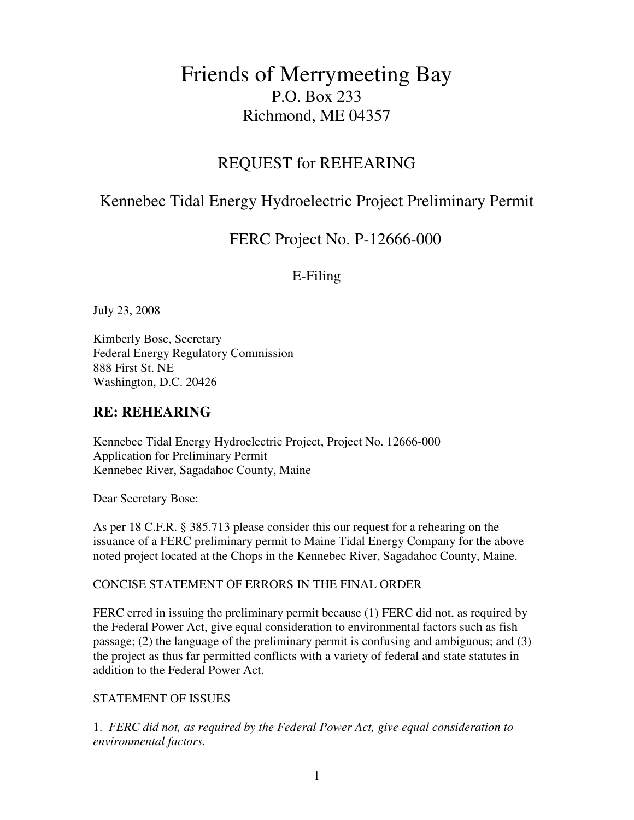# Friends of Merrymeeting Bay P.O. Box 233 Richmond, ME 04357

## REQUEST for REHEARING

## Kennebec Tidal Energy Hydroelectric Project Preliminary Permit

## FERC Project No. P-12666-000

### E-Filing

July 23, 2008

Kimberly Bose, Secretary Federal Energy Regulatory Commission 888 First St. NE Washington, D.C. 20426

### **RE: REHEARING**

Kennebec Tidal Energy Hydroelectric Project, Project No. 12666-000 Application for Preliminary Permit Kennebec River, Sagadahoc County, Maine

Dear Secretary Bose:

As per 18 C.F.R. § 385.713 please consider this our request for a rehearing on the issuance of a FERC preliminary permit to Maine Tidal Energy Company for the above noted project located at the Chops in the Kennebec River, Sagadahoc County, Maine.

#### CONCISE STATEMENT OF ERRORS IN THE FINAL ORDER

FERC erred in issuing the preliminary permit because (1) FERC did not, as required by the Federal Power Act, give equal consideration to environmental factors such as fish passage; (2) the language of the preliminary permit is confusing and ambiguous; and (3) the project as thus far permitted conflicts with a variety of federal and state statutes in addition to the Federal Power Act.

### STATEMENT OF ISSUES

1. *FERC did not, as required by the Federal Power Act, give equal consideration to environmental factors.*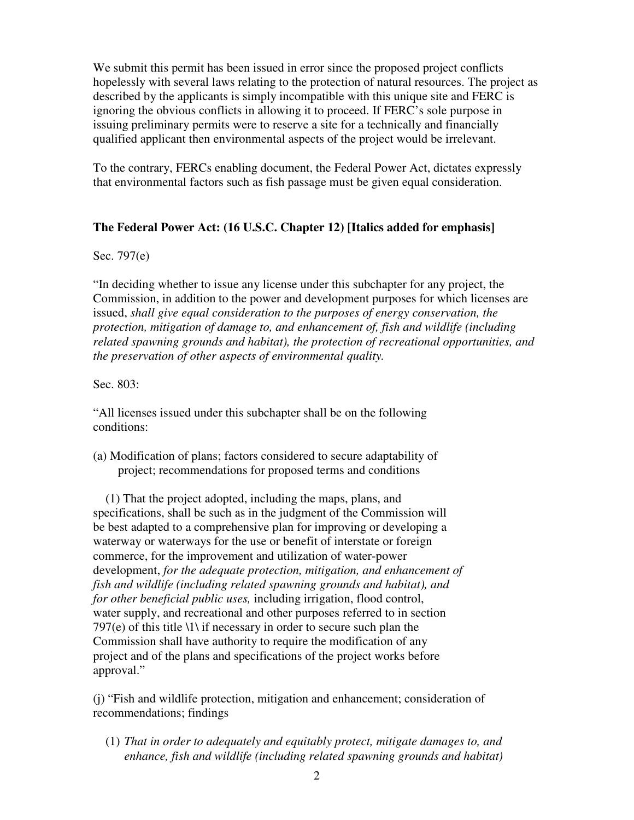We submit this permit has been issued in error since the proposed project conflicts hopelessly with several laws relating to the protection of natural resources. The project as described by the applicants is simply incompatible with this unique site and FERC is ignoring the obvious conflicts in allowing it to proceed. If FERC's sole purpose in issuing preliminary permits were to reserve a site for a technically and financially qualified applicant then environmental aspects of the project would be irrelevant.

To the contrary, FERCs enabling document, the Federal Power Act, dictates expressly that environmental factors such as fish passage must be given equal consideration.

#### **The Federal Power Act: (16 U.S.C. Chapter 12) [Italics added for emphasis]**

#### Sec. 797(e)

"In deciding whether to issue any license under this subchapter for any project, the Commission, in addition to the power and development purposes for which licenses are issued, *shall give equal consideration to the purposes of energy conservation, the protection, mitigation of damage to, and enhancement of, fish and wildlife (including related spawning grounds and habitat), the protection of recreational opportunities, and the preservation of other aspects of environmental quality.* 

#### Sec. 803:

"All licenses issued under this subchapter shall be on the following conditions:

(a) Modification of plans; factors considered to secure adaptability of project; recommendations for proposed terms and conditions

 (1) That the project adopted, including the maps, plans, and specifications, shall be such as in the judgment of the Commission will be best adapted to a comprehensive plan for improving or developing a waterway or waterways for the use or benefit of interstate or foreign commerce, for the improvement and utilization of water-power development, *for the adequate protection, mitigation, and enhancement of fish and wildlife (including related spawning grounds and habitat), and for other beneficial public uses,* including irrigation, flood control, water supply, and recreational and other purposes referred to in section 797(e) of this title  $\langle 1 \rangle$  if necessary in order to secure such plan the Commission shall have authority to require the modification of any project and of the plans and specifications of the project works before approval."

(j) "Fish and wildlife protection, mitigation and enhancement; consideration of recommendations; findings

(1) *That in order to adequately and equitably protect, mitigate damages to, and enhance, fish and wildlife (including related spawning grounds and habitat)*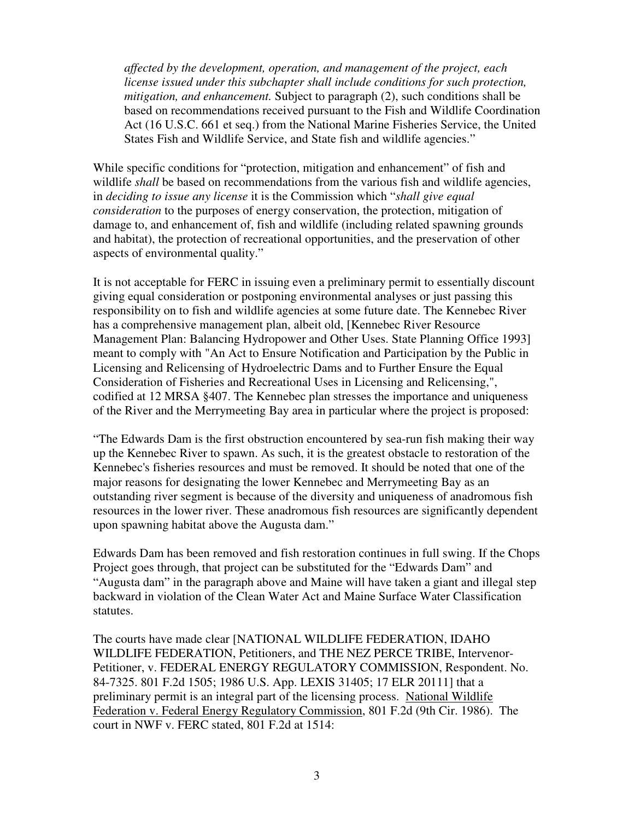*affected by the development, operation, and management of the project, each license issued under this subchapter shall include conditions for such protection, mitigation, and enhancement.* Subject to paragraph (2), such conditions shall be based on recommendations received pursuant to the Fish and Wildlife Coordination Act (16 U.S.C. 661 et seq.) from the National Marine Fisheries Service, the United States Fish and Wildlife Service, and State fish and wildlife agencies."

While specific conditions for "protection, mitigation and enhancement" of fish and wildlife *shall* be based on recommendations from the various fish and wildlife agencies, in *deciding to issue any license* it is the Commission which "*shall give equal consideration* to the purposes of energy conservation, the protection, mitigation of damage to, and enhancement of, fish and wildlife (including related spawning grounds and habitat), the protection of recreational opportunities, and the preservation of other aspects of environmental quality."

It is not acceptable for FERC in issuing even a preliminary permit to essentially discount giving equal consideration or postponing environmental analyses or just passing this responsibility on to fish and wildlife agencies at some future date. The Kennebec River has a comprehensive management plan, albeit old, [Kennebec River Resource Management Plan: Balancing Hydropower and Other Uses. State Planning Office 1993] meant to comply with "An Act to Ensure Notification and Participation by the Public in Licensing and Relicensing of Hydroelectric Dams and to Further Ensure the Equal Consideration of Fisheries and Recreational Uses in Licensing and Relicensing,", codified at 12 MRSA §407. The Kennebec plan stresses the importance and uniqueness of the River and the Merrymeeting Bay area in particular where the project is proposed:

"The Edwards Dam is the first obstruction encountered by sea-run fish making their way up the Kennebec River to spawn. As such, it is the greatest obstacle to restoration of the Kennebec's fisheries resources and must be removed. It should be noted that one of the major reasons for designating the lower Kennebec and Merrymeeting Bay as an outstanding river segment is because of the diversity and uniqueness of anadromous fish resources in the lower river. These anadromous fish resources are significantly dependent upon spawning habitat above the Augusta dam."

Edwards Dam has been removed and fish restoration continues in full swing. If the Chops Project goes through, that project can be substituted for the "Edwards Dam" and "Augusta dam" in the paragraph above and Maine will have taken a giant and illegal step backward in violation of the Clean Water Act and Maine Surface Water Classification statutes.

The courts have made clear [NATIONAL WILDLIFE FEDERATION, IDAHO WILDLIFE FEDERATION, Petitioners, and THE NEZ PERCE TRIBE, Intervenor-Petitioner, v. FEDERAL ENERGY REGULATORY COMMISSION, Respondent. No. 84-7325. 801 F.2d 1505; 1986 U.S. App. LEXIS 31405; 17 ELR 20111] that a preliminary permit is an integral part of the licensing process. National Wildlife Federation v. Federal Energy Regulatory Commission, 801 F.2d (9th Cir. 1986). The court in NWF v. FERC stated, 801 F.2d at 1514: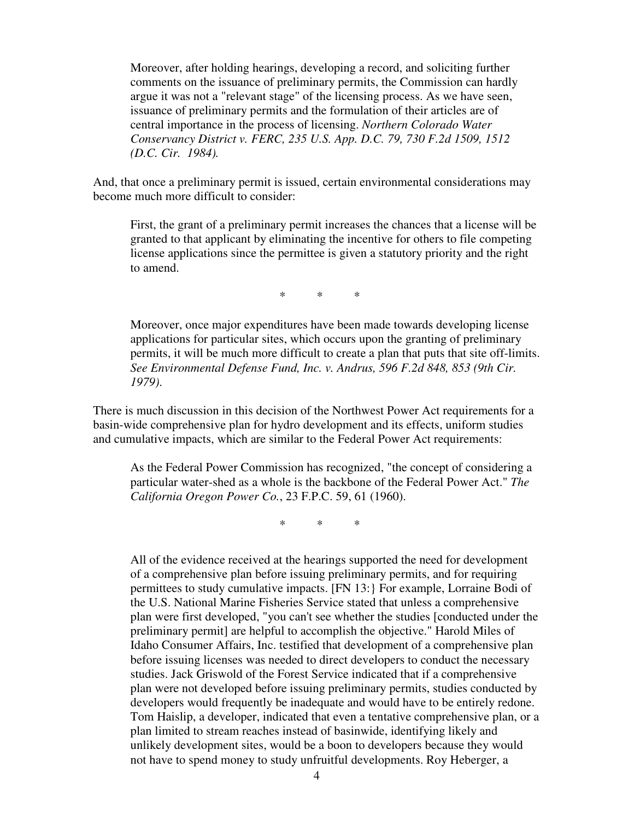Moreover, after holding hearings, developing a record, and soliciting further comments on the issuance of preliminary permits, the Commission can hardly argue it was not a "relevant stage" of the licensing process. As we have seen, issuance of preliminary permits and the formulation of their articles are of central importance in the process of licensing. *Northern Colorado Water Conservancy District v. FERC, 235 U.S. App. D.C. 79, 730 F.2d 1509, 1512 (D.C. Cir. 1984).*

And, that once a preliminary permit is issued, certain environmental considerations may become much more difficult to consider:

First, the grant of a preliminary permit increases the chances that a license will be granted to that applicant by eliminating the incentive for others to file competing license applications since the permittee is given a statutory priority and the right to amend.

 $\begin{array}{ccc} \ast & \ast & \ast \\ \end{array}$ 

Moreover, once major expenditures have been made towards developing license applications for particular sites, which occurs upon the granting of preliminary permits, it will be much more difficult to create a plan that puts that site off-limits. *See Environmental Defense Fund, Inc. v. Andrus, 596 F.2d 848, 853 (9th Cir. 1979)*.

There is much discussion in this decision of the Northwest Power Act requirements for a basin-wide comprehensive plan for hydro development and its effects, uniform studies and cumulative impacts, which are similar to the Federal Power Act requirements:

As the Federal Power Commission has recognized, "the concept of considering a particular water-shed as a whole is the backbone of the Federal Power Act." *The California Oregon Power Co.*, 23 F.P.C. 59, 61 (1960).

\* \* \*

All of the evidence received at the hearings supported the need for development of a comprehensive plan before issuing preliminary permits, and for requiring permittees to study cumulative impacts. [FN 13:} For example, Lorraine Bodi of the U.S. National Marine Fisheries Service stated that unless a comprehensive plan were first developed, "you can't see whether the studies [conducted under the preliminary permit] are helpful to accomplish the objective." Harold Miles of Idaho Consumer Affairs, Inc. testified that development of a comprehensive plan before issuing licenses was needed to direct developers to conduct the necessary studies. Jack Griswold of the Forest Service indicated that if a comprehensive plan were not developed before issuing preliminary permits, studies conducted by developers would frequently be inadequate and would have to be entirely redone. Tom Haislip, a developer, indicated that even a tentative comprehensive plan, or a plan limited to stream reaches instead of basinwide, identifying likely and unlikely development sites, would be a boon to developers because they would not have to spend money to study unfruitful developments. Roy Heberger, a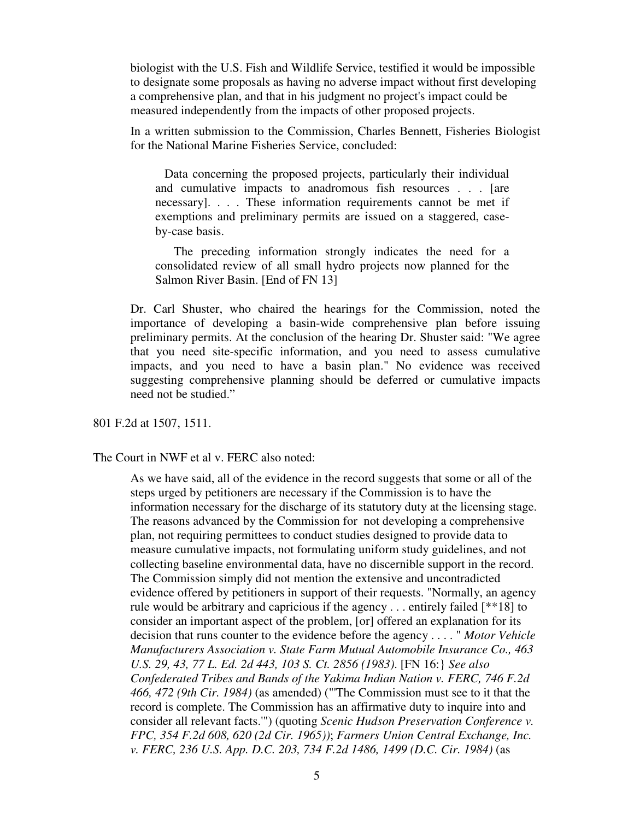biologist with the U.S. Fish and Wildlife Service, testified it would be impossible to designate some proposals as having no adverse impact without first developing a comprehensive plan, and that in his judgment no project's impact could be measured independently from the impacts of other proposed projects.

In a written submission to the Commission, Charles Bennett, Fisheries Biologist for the National Marine Fisheries Service, concluded:

 Data concerning the proposed projects, particularly their individual and cumulative impacts to anadromous fish resources . . . [are necessary]. . . . These information requirements cannot be met if exemptions and preliminary permits are issued on a staggered, caseby-case basis.

The preceding information strongly indicates the need for a consolidated review of all small hydro projects now planned for the Salmon River Basin. [End of FN 13]

Dr. Carl Shuster, who chaired the hearings for the Commission, noted the importance of developing a basin-wide comprehensive plan before issuing preliminary permits. At the conclusion of the hearing Dr. Shuster said: "We agree that you need site-specific information, and you need to assess cumulative impacts, and you need to have a basin plan." No evidence was received suggesting comprehensive planning should be deferred or cumulative impacts need not be studied."

801 F.2d at 1507, 1511.

The Court in NWF et al v. FERC also noted:

As we have said, all of the evidence in the record suggests that some or all of the steps urged by petitioners are necessary if the Commission is to have the information necessary for the discharge of its statutory duty at the licensing stage. The reasons advanced by the Commission for not developing a comprehensive plan, not requiring permittees to conduct studies designed to provide data to measure cumulative impacts, not formulating uniform study guidelines, and not collecting baseline environmental data, have no discernible support in the record. The Commission simply did not mention the extensive and uncontradicted evidence offered by petitioners in support of their requests. "Normally, an agency rule would be arbitrary and capricious if the agency . . . entirely failed [\*\*18] to consider an important aspect of the problem, [or] offered an explanation for its decision that runs counter to the evidence before the agency . . . . " *Motor Vehicle Manufacturers Association v. State Farm Mutual Automobile Insurance Co., 463 U.S. 29, 43, 77 L. Ed. 2d 443, 103 S. Ct. 2856 (1983)*. [FN 16:} *See also Confederated Tribes and Bands of the Yakima Indian Nation v. FERC, 746 F.2d 466, 472 (9th Cir. 1984)* (as amended) ("'The Commission must see to it that the record is complete. The Commission has an affirmative duty to inquire into and consider all relevant facts.'") (quoting *Scenic Hudson Preservation Conference v. FPC, 354 F.2d 608, 620 (2d Cir. 1965))*; *Farmers Union Central Exchange, Inc. v. FERC, 236 U.S. App. D.C. 203, 734 F.2d 1486, 1499 (D.C. Cir. 1984)* (as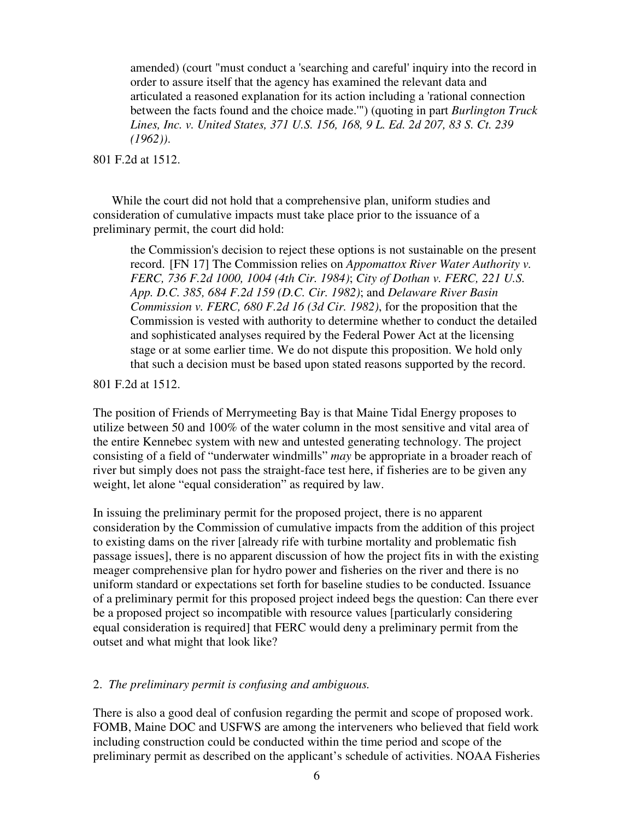amended) (court "must conduct a 'searching and careful' inquiry into the record in order to assure itself that the agency has examined the relevant data and articulated a reasoned explanation for its action including a 'rational connection between the facts found and the choice made.'") (quoting in part *Burlington Truck Lines, Inc. v. United States, 371 U.S. 156, 168, 9 L. Ed. 2d 207, 83 S. Ct. 239 (1962))*.

801 F.2d at 1512.

While the court did not hold that a comprehensive plan, uniform studies and consideration of cumulative impacts must take place prior to the issuance of a preliminary permit, the court did hold:

the Commission's decision to reject these options is not sustainable on the present record. [FN 17] The Commission relies on *Appomattox River Water Authority v. FERC, 736 F.2d 1000, 1004 (4th Cir. 1984)*; *City of Dothan v. FERC, 221 U.S. App. D.C. 385, 684 F.2d 159 (D.C. Cir. 1982)*; and *Delaware River Basin Commission v. FERC, 680 F.2d 16 (3d Cir. 1982)*, for the proposition that the Commission is vested with authority to determine whether to conduct the detailed and sophisticated analyses required by the Federal Power Act at the licensing stage or at some earlier time. We do not dispute this proposition. We hold only that such a decision must be based upon stated reasons supported by the record.

801 F.2d at 1512.

The position of Friends of Merrymeeting Bay is that Maine Tidal Energy proposes to utilize between 50 and 100% of the water column in the most sensitive and vital area of the entire Kennebec system with new and untested generating technology. The project consisting of a field of "underwater windmills" *may* be appropriate in a broader reach of river but simply does not pass the straight-face test here, if fisheries are to be given any weight, let alone "equal consideration" as required by law.

In issuing the preliminary permit for the proposed project, there is no apparent consideration by the Commission of cumulative impacts from the addition of this project to existing dams on the river [already rife with turbine mortality and problematic fish passage issues], there is no apparent discussion of how the project fits in with the existing meager comprehensive plan for hydro power and fisheries on the river and there is no uniform standard or expectations set forth for baseline studies to be conducted. Issuance of a preliminary permit for this proposed project indeed begs the question: Can there ever be a proposed project so incompatible with resource values [particularly considering equal consideration is required] that FERC would deny a preliminary permit from the outset and what might that look like?

#### 2. *The preliminary permit is confusing and ambiguous.*

There is also a good deal of confusion regarding the permit and scope of proposed work. FOMB, Maine DOC and USFWS are among the interveners who believed that field work including construction could be conducted within the time period and scope of the preliminary permit as described on the applicant's schedule of activities. NOAA Fisheries